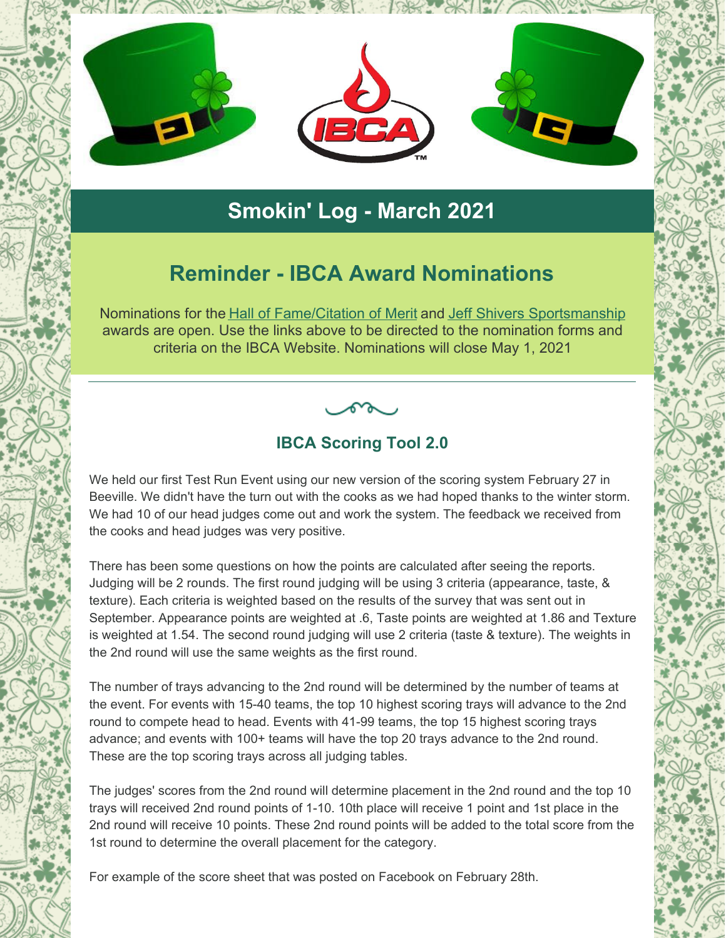

# **Smokin' Log - March 2021**

# **Reminder - IBCA Award Nominations**

Nominations for the Hall of [Fame/Citation](https://ibcabbq.org/hall-of-fame-nomination/) of Merit and Jeff Shivers [Sportsmanship](https://ibcabbq.org/jeff-shivers-sportsmanship-award-nomination/) awards are open. Use the links above to be directed to the nomination forms and criteria on the IBCA Website. Nominations will close May 1, 2021

## **IBCA Scoring Tool 2.0**

We held our first Test Run Event using our new version of the scoring system February 27 in Beeville. We didn't have the turn out with the cooks as we had hoped thanks to the winter storm. We had 10 of our head judges come out and work the system. The feedback we received from the cooks and head judges was very positive.

There has been some questions on how the points are calculated after seeing the reports. Judging will be 2 rounds. The first round judging will be using 3 criteria (appearance, taste, & texture). Each criteria is weighted based on the results of the survey that was sent out in September. Appearance points are weighted at .6, Taste points are weighted at 1.86 and Texture is weighted at 1.54. The second round judging will use 2 criteria (taste & texture). The weights in the 2nd round will use the same weights as the first round.

The number of trays advancing to the 2nd round will be determined by the number of teams at the event. For events with 15-40 teams, the top 10 highest scoring trays will advance to the 2nd round to compete head to head. Events with 41-99 teams, the top 15 highest scoring trays advance; and events with 100+ teams will have the top 20 trays advance to the 2nd round. These are the top scoring trays across all judging tables.

The judges' scores from the 2nd round will determine placement in the 2nd round and the top 10 trays will received 2nd round points of 1-10. 10th place will receive 1 point and 1st place in the 2nd round will receive 10 points. These 2nd round points will be added to the total score from the 1st round to determine the overall placement for the category.

For example of the score sheet that was posted on Facebook on February 28th.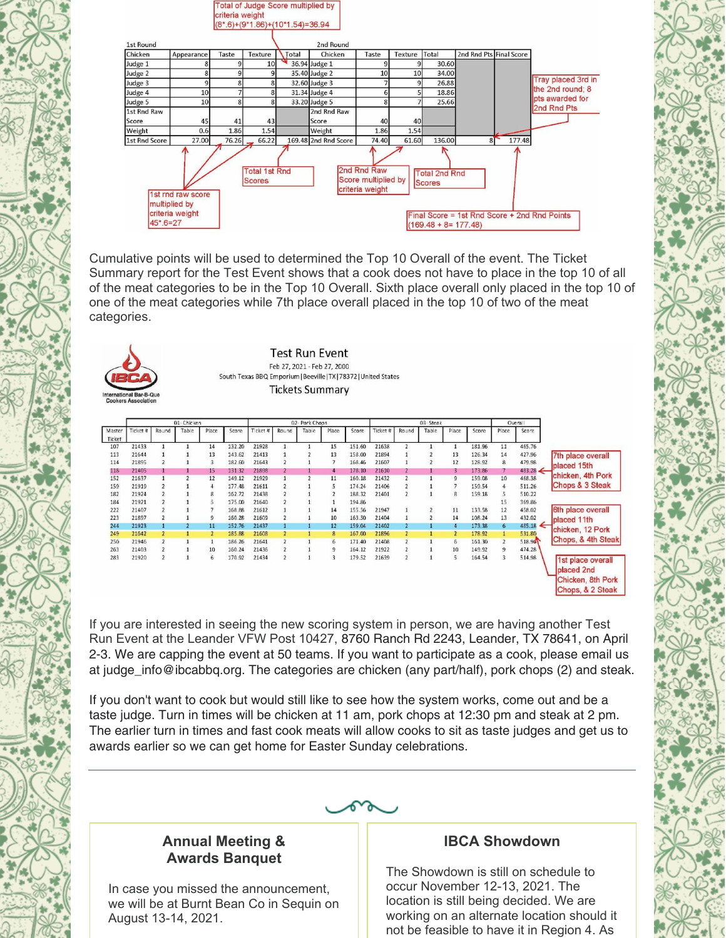

Cumulative points will be used to determined the Top 10 Overall of the event. The Ticket Summary report for the Test Event shows that a cook does not have to place in the top 10 of all of the meat categories to be in the Top 10 Overall. Sixth place overall only placed in the top 10 of one of the meat categories while 7th place overall placed in the top 10 of two of the meat categories.

| <b>Test Run Event</b>                                            |
|------------------------------------------------------------------|
| Feb 27, 2021 - Feb 27, 2000                                      |
| South Texas BBQ Emporium   Beeville   TX   78372   United States |
| <b>Tickets Summary</b>                                           |

| Master |          |                | 01-Chicken |       |        | 02-Pork Chops |                |       |            |        | 03-Steak |                |       |       |        | Overall        |                     |                    |
|--------|----------|----------------|------------|-------|--------|---------------|----------------|-------|------------|--------|----------|----------------|-------|-------|--------|----------------|---------------------|--------------------|
|        | Ticket # | Round          | Table      | Place | Score  | Ticket #      | Round          | Table | Place      | Score: | Ticket # | Round          | Table | Place | Score  | Place          | Score               |                    |
| Ticket |          |                |            |       |        |               |                |       |            |        |          |                |       |       |        |                |                     |                    |
| 107    | 21433    |                |            | 14    | 132.20 | 21928         |                |       | 15         | 151.60 | 21638    | $\overline{2}$ |       |       | 181.96 | 11             | 465.76              |                    |
| 113    | 21644    |                |            | 13    | 143.62 | 21413         |                |       | 13         | 158.00 | 21894    |                |       | 13    | 126.34 | 14             | 427.96              | 7th place overall  |
| 114    | 21895    |                |            | 3     | 182.60 | 21643         |                |       |            | 168.46 | 21607    |                |       | 12    | 128.92 | 8              | 479.98              | placed 15th        |
| 118    | 21405    |                |            | 15    | 131.32 | 21898         |                |       |            | 178.10 | 21610    |                |       | 3.    | 173.86 |                | $483.28 \leftarrow$ |                    |
| 152    | 21637    |                |            | 12    | 149.12 | 21929         |                |       | 11         | 160.18 | 21432    | $\overline{2}$ |       | q     | 159.08 | 10             | 468.38              | chicken, 4th Pork  |
| 159    | 21919    |                |            |       | 177.48 | 21611         |                |       |            | 174.24 | 21406    | $\overline{2}$ |       |       | 159.54 | $\overline{4}$ | 511.26              | Chops & 3 Steak    |
| 182    | 21924    |                |            | 8     | 162.72 | 21438         |                |       |            | 188.32 | 21401    | $\overline{2}$ |       | 8     | 159.18 |                | 510.22              |                    |
| 184    | 21921    |                |            |       | 175.00 | 21640         |                |       |            | 194.86 |          |                |       |       |        | 15             | 369.86              |                    |
| 222    | 21407    |                |            |       | 168.88 | 21612         |                |       | 14         | 155.56 | 21947    |                |       | 11    | 133.58 | 12             | 458.02              | 6th place overall  |
| 223    | 21897    |                |            | 9     | 160.28 | 21609         |                |       | 10         | 163.50 | 21404    |                |       | 14    | 108.24 | 13             | 432.02              | placed 11th        |
| 244    | 21923    |                |            | 11    | 152.76 | 21437         |                |       | 12         | 159.04 | 21402    |                |       |       | 173.38 | 6              | 485.18              | chicken, 12 Pork   |
| 249    | 21642    |                |            |       | 185.88 | 2160B         |                |       | B          | 167.00 | 21896    |                |       |       | 178.92 |                | 531.80              |                    |
| 250    | 21946    |                |            |       | 186.26 | 21641         |                |       | 6          | 171.40 | 21408    |                |       | 6     | 161.30 |                | 518.96              | Chops, & 4th Steak |
| 263    | 21403    |                |            | 10    | 160.24 | 21436         |                |       | 9          | 164.12 | 21922    |                |       | 10    | 149.92 | 9              | 474.28              |                    |
| 283    | 21920    | $\overline{2}$ |            | 6     | 170.92 | 21434         | $\overline{2}$ |       | $\ddot{ }$ | 179.52 | 21639    | $\overline{2}$ |       | 5     | 164.54 | з              | 514.98              | 1st place overall  |
|        |          |                |            |       |        |               |                |       |            |        |          |                |       |       |        |                |                     | placed 2nd         |
|        |          |                |            |       |        |               |                |       |            |        |          |                |       |       |        |                |                     |                    |
|        |          |                |            |       |        |               |                |       |            |        |          |                |       |       |        |                |                     | Chicken, 8th Pork  |
|        |          |                |            |       |        |               |                |       |            |        |          |                |       |       |        |                |                     | Chops, & 2 Steak   |

If you are interested in seeing the new scoring system in person, we are having another Test Run Event at the Leander VFW Post 10427, 8760 Ranch Rd 2243, Leander, TX 78641, on April 2-3. We are capping the event at 50 teams. If you want to participate as a cook, please email us at judge\_info@ibcabbq.org. The categories are chicken (any part/half), pork chops (2) and steak.

If you don't want to cook but would still like to see how the system works, come out and be a taste judge. Turn in times will be chicken at 11 am, pork chops at 12:30 pm and steak at 2 pm. The earlier turn in times and fast cook meats will allow cooks to sit as taste judges and get us to awards earlier so we can get home for Easter Sunday celebrations.



## **Annual Meeting & Awards Banquet**

In case you missed the announcement, we will be at Burnt Bean Co in Sequin on August 13-14, 2021.

### **IBCA Showdown**

The Showdown is still on schedule to occur November 12-13, 2021. The location is still being decided. We are working on an alternate location should it not be feasible to have it in Region 4. As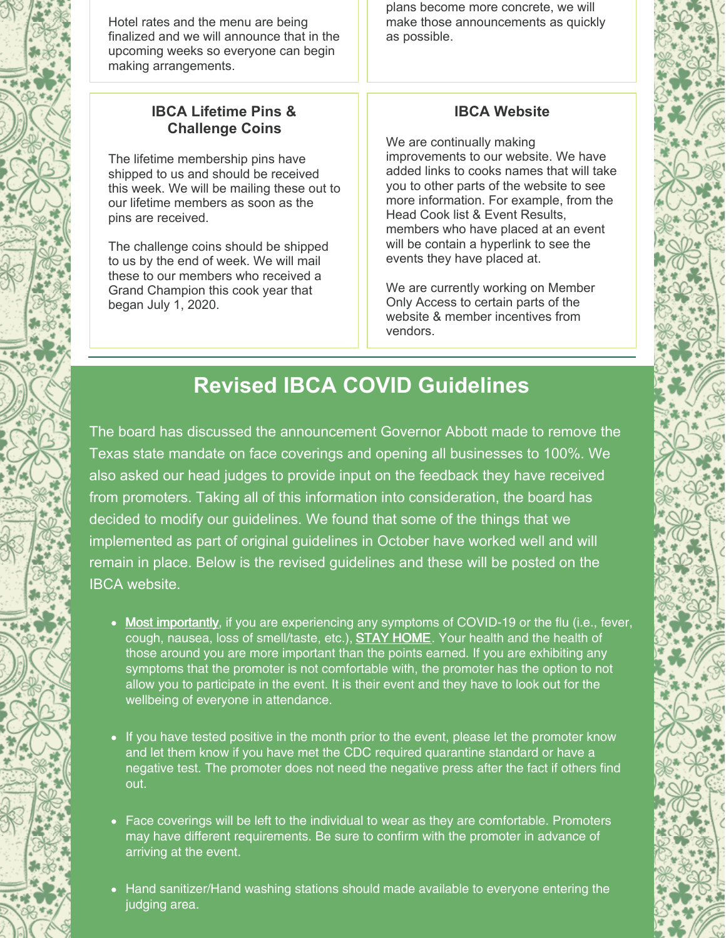

## **IBCA Lifetime Pins & Challenge Coins**

The lifetime membership pins have shipped to us and should be received this week. We will be mailing these out to our lifetime members as soon as the pins are received.

The challenge coins should be shipped to us by the end of week. We will mail these to our members who received a Grand Champion this cook year that began July 1, 2020.

plans become more concrete, we will make those announcements as quickly as possible.

## **IBCA Website**

We are continually making improvements to our website. We have added links to cooks names that will take you to other parts of the website to see more information. For example, from the Head Cook list & Event Results, members who have placed at an event will be contain a hyperlink to see the events they have placed at.

We are currently working on Member Only Access to certain parts of the website & member incentives from vendors.

# **Revised IBCA COVID Guidelines**

The board has discussed the announcement Governor Abbott made to remove the Texas state mandate on face coverings and opening all businesses to 100%. We also asked our head judges to provide input on the feedback they have received from promoters. Taking all of this information into consideration, the board has decided to modify our guidelines. We found that some of the things that we implemented as part of original guidelines in October have worked well and will remain in place. Below is the revised guidelines and these will be posted on the IBCA website.

- Most importantly, if you are experiencing any symptoms of COVID-19 or the flu (i.e., fever, cough, nausea, loss of smell/taste, etc.), STAY HOME. Your health and the health of those around you are more important than the points earned. If you are exhibiting any symptoms that the promoter is not comfortable with, the promoter has the option to not allow you to participate in the event. It is their event and they have to look out for the wellbeing of everyone in attendance.
- If you have tested positive in the month prior to the event, please let the promoter know and let them know if you have met the CDC required quarantine standard or have a negative test. The promoter does not need the negative press after the fact if others find out.
- Face coverings will be left to the individual to wear as they are comfortable. Promoters may have different requirements. Be sure to confirm with the promoter in advance of arriving at the event.
- Hand sanitizer/Hand washing stations should made available to everyone entering the judging area.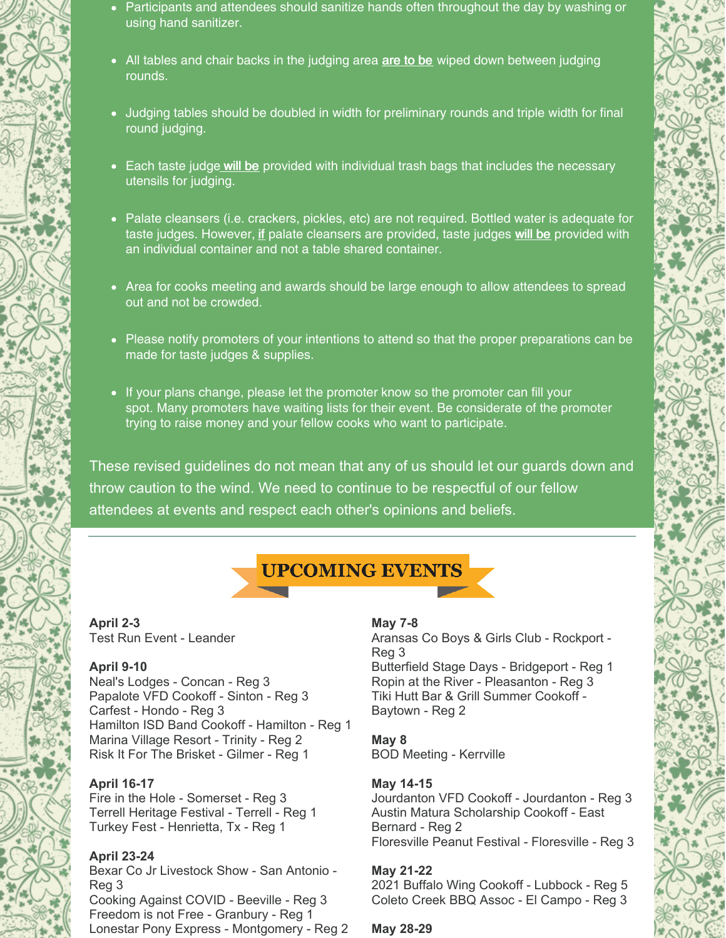- Participants and attendees should sanitize hands often throughout the day by washing or using hand sanitizer.
- All tables and chair backs in the judging area are to be wiped down between judging rounds.
- Judging tables should be doubled in width for preliminary rounds and triple width for final round judging.
- Each taste judge will be provided with individual trash bags that includes the necessary utensils for judging.
- Palate cleansers (i.e. crackers, pickles, etc) are not required. Bottled water is adequate for taste judges. However, if palate cleansers are provided, taste judges will be provided with an individual container and not a table shared container.
- Area for cooks meeting and awards should be large enough to allow attendees to spread out and not be crowded.
- Please notify promoters of your intentions to attend so that the proper preparations can be made for taste judges & supplies.
- If your plans change, please let the promoter know so the promoter can fill your spot. Many promoters have waiting lists for their event. Be considerate of the promoter trying to raise money and your fellow cooks who want to participate.

These revised guidelines do not mean that any of us should let our guards down and throw caution to the wind. We need to continue to be respectful of our fellow attendees at events and respect each other's opinions and beliefs.



**April 2-3** Test Run Event - Leander

#### **April 9-10**

Neal's Lodges - Concan - Reg 3 Papalote VFD Cookoff - Sinton - Reg 3 Carfest - Hondo - Reg 3 Hamilton ISD Band Cookoff - Hamilton - Reg 1 Marina Village Resort - Trinity - Reg 2 Risk It For The Brisket - Gilmer - Reg 1

#### **April 16-17**

Fire in the Hole - Somerset - Reg 3 Terrell Heritage Festival - Terrell - Reg 1 Turkey Fest - Henrietta, Tx - Reg 1

#### **April 23-24**

Bexar Co Jr Livestock Show - San Antonio - Reg 3 Cooking Against COVID - Beeville - Reg 3 Freedom is not Free - Granbury - Reg 1 Lonestar Pony Express - Montgomery - Reg 2

#### **May 7-8**

Aransas Co Boys & Girls Club - Rockport - Reg 3 Butterfield Stage Days - Bridgeport - Reg 1 Ropin at the River - Pleasanton - Reg 3 Tiki Hutt Bar & Grill Summer Cookoff - Baytown - Reg 2

**May 8** BOD Meeting - Kerrville

#### **May 14-15**

Jourdanton VFD Cookoff - Jourdanton - Reg 3 Austin Matura Scholarship Cookoff - East Bernard - Reg 2 Floresville Peanut Festival - Floresville - Reg 3

#### **May 21-22**

2021 Buffalo Wing Cookoff - Lubbock - Reg 5 Coleto Creek BBQ Assoc - El Campo - Reg 3

#### **May 28-29**